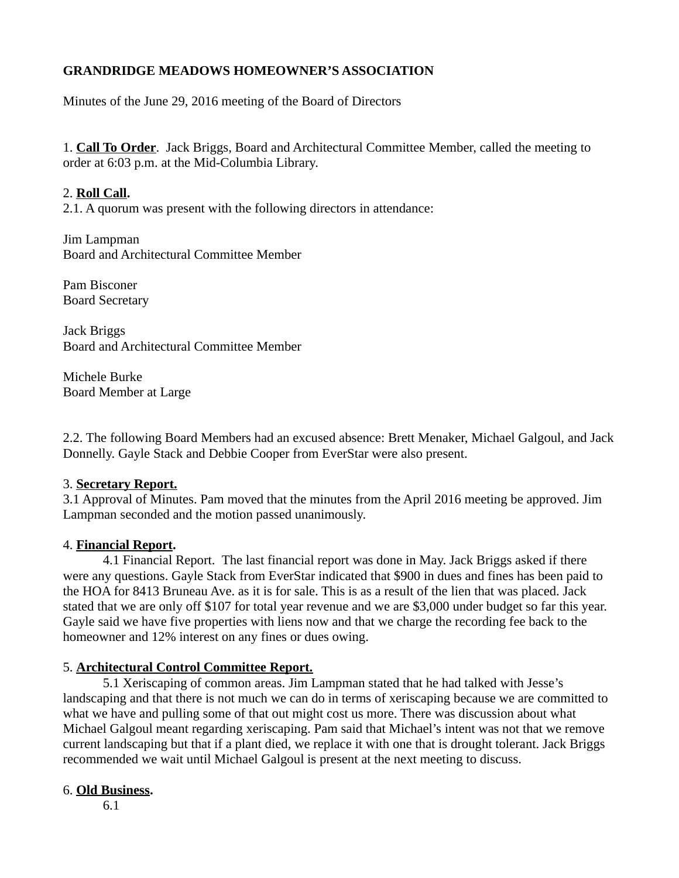# **GRANDRIDGE MEADOWS HOMEOWNER'S ASSOCIATION**

Minutes of the June 29, 2016 meeting of the Board of Directors

1. **Call To Order**. Jack Briggs, Board and Architectural Committee Member, called the meeting to order at 6:03 p.m. at the Mid-Columbia Library.

### 2. **Roll Call.**

2.1. A quorum was present with the following directors in attendance:

Jim Lampman Board and Architectural Committee Member

Pam Bisconer Board Secretary

Jack Briggs Board and Architectural Committee Member

Michele Burke Board Member at Large

2.2. The following Board Members had an excused absence: Brett Menaker, Michael Galgoul, and Jack Donnelly. Gayle Stack and Debbie Cooper from EverStar were also present.

### 3. **Secretary Report.**

3.1 Approval of Minutes. Pam moved that the minutes from the April 2016 meeting be approved. Jim Lampman seconded and the motion passed unanimously.

### 4. **Financial Report.**

 4.1 Financial Report. The last financial report was done in May. Jack Briggs asked if there were any questions. Gayle Stack from EverStar indicated that \$900 in dues and fines has been paid to the HOA for 8413 Bruneau Ave. as it is for sale. This is as a result of the lien that was placed. Jack stated that we are only off \$107 for total year revenue and we are \$3,000 under budget so far this year. Gayle said we have five properties with liens now and that we charge the recording fee back to the homeowner and 12% interest on any fines or dues owing.

## 5. **Architectural Control Committee Report.**

 5.1 Xeriscaping of common areas. Jim Lampman stated that he had talked with Jesse's landscaping and that there is not much we can do in terms of xeriscaping because we are committed to what we have and pulling some of that out might cost us more. There was discussion about what Michael Galgoul meant regarding xeriscaping. Pam said that Michael's intent was not that we remove current landscaping but that if a plant died, we replace it with one that is drought tolerant. Jack Briggs recommended we wait until Michael Galgoul is present at the next meeting to discuss.

## 6. **Old Business.**

6.1